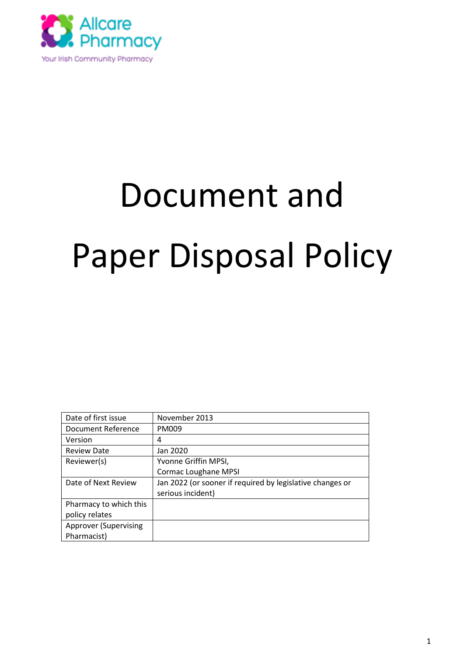

# Document and Paper Disposal Policy

| Date of first issue          | November 2013                                             |
|------------------------------|-----------------------------------------------------------|
| Document Reference           | PM009                                                     |
| Version                      | 4                                                         |
| <b>Review Date</b>           | Jan 2020                                                  |
| Reviewer(s)                  | Yvonne Griffin MPSI,                                      |
|                              | <b>Cormac Loughane MPSI</b>                               |
|                              |                                                           |
| Date of Next Review          | Jan 2022 (or sooner if required by legislative changes or |
|                              | serious incident)                                         |
| Pharmacy to which this       |                                                           |
| policy relates               |                                                           |
| <b>Approver (Supervising</b> |                                                           |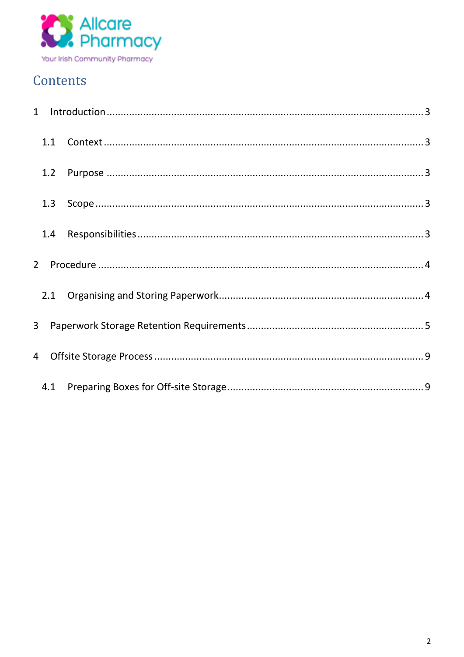

### Contents

| 1.2 |  |
|-----|--|
| 1.3 |  |
| 1.4 |  |
|     |  |
|     |  |
|     |  |
|     |  |
|     |  |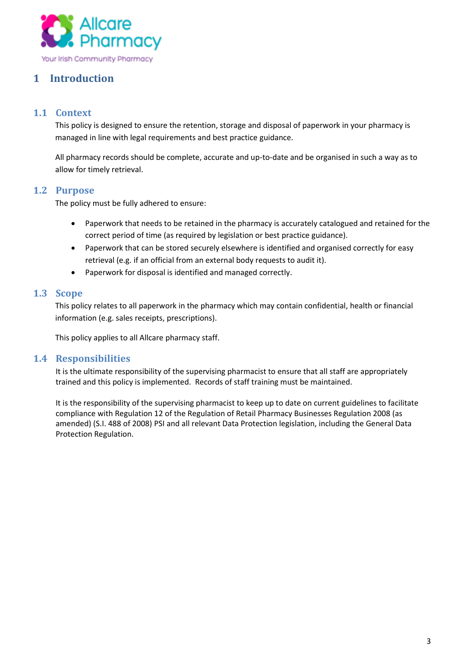

#### <span id="page-2-0"></span>**1 Introduction**

#### <span id="page-2-1"></span>**1.1 Context**

This policy is designed to ensure the retention, storage and disposal of paperwork in your pharmacy is managed in line with legal requirements and best practice guidance.

All pharmacy records should be complete, accurate and up-to-date and be organised in such a way as to allow for timely retrieval.

#### <span id="page-2-2"></span>**1.2 Purpose**

The policy must be fully adhered to ensure:

- Paperwork that needs to be retained in the pharmacy is accurately catalogued and retained for the correct period of time (as required by legislation or best practice guidance).
- Paperwork that can be stored securely elsewhere is identified and organised correctly for easy retrieval (e.g. if an official from an external body requests to audit it).
- Paperwork for disposal is identified and managed correctly.

#### <span id="page-2-3"></span>**1.3 Scope**

This policy relates to all paperwork in the pharmacy which may contain confidential, health or financial information (e.g. sales receipts, prescriptions).

This policy applies to all Allcare pharmacy staff.

#### <span id="page-2-4"></span>**1.4 Responsibilities**

It is the ultimate responsibility of the supervising pharmacist to ensure that all staff are appropriately trained and this policy is implemented. Records of staff training must be maintained.

It is the responsibility of the supervising pharmacist to keep up to date on current guidelines to facilitate compliance with Regulation 12 of the Regulation of Retail Pharmacy Businesses Regulation 2008 (as amended) (S.I. 488 of 2008) PSI and all relevant Data Protection legislation, including the General Data Protection Regulation.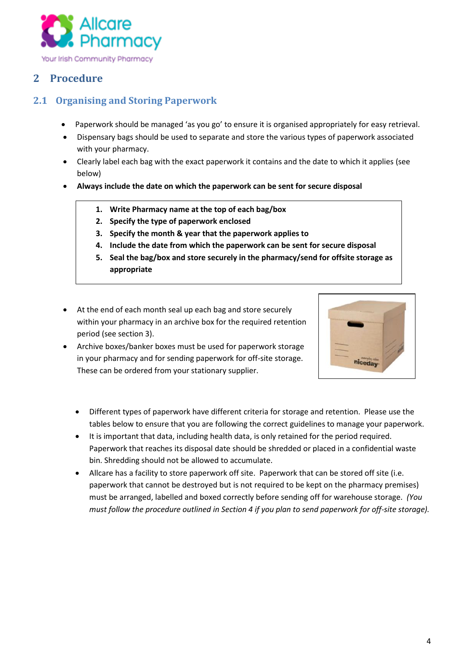

#### <span id="page-3-0"></span>**2 Procedure**

#### <span id="page-3-1"></span>**2.1 Organising and Storing Paperwork**

- Paperwork should be managed 'as you go' to ensure it is organised appropriately for easy retrieval.
- Dispensary bags should be used to separate and store the various types of paperwork associated with your pharmacy.
- Clearly label each bag with the exact paperwork it contains and the date to which it applies (see below)
- **Always include the date on which the paperwork can be sent for secure disposal**
	- **1. Write Pharmacy name at the top of each bag/box**
	- **2. Specify the type of paperwork enclosed**
	- **3. Specify the month & year that the paperwork applies to**
	- **4. Include the date from which the paperwork can be sent for secure disposal**
	- **5. Seal the bag/box and store securely in the pharmacy/send for offsite storage as appropriate**
- At the end of each month seal up each bag and store securely within your pharmacy in an archive box for the required retention period (see section 3).
- Archive boxes/banker boxes must be used for paperwork storage in your pharmacy and for sending paperwork for off-site storage. These can be ordered from your stationary supplier.



- Different types of paperwork have different criteria for storage and retention. Please use the tables below to ensure that you are following the correct guidelines to manage your paperwork.
- It is important that data, including health data, is only retained for the period required. Paperwork that reaches its disposal date should be shredded or placed in a confidential waste bin. Shredding should not be allowed to accumulate.
- Allcare has a facility to store paperwork off site. Paperwork that can be stored off site (i.e. paperwork that cannot be destroyed but is not required to be kept on the pharmacy premises) must be arranged, labelled and boxed correctly before sending off for warehouse storage. *(You must follow the procedure outlined in Section 4 if you plan to send paperwork for off-site storage).*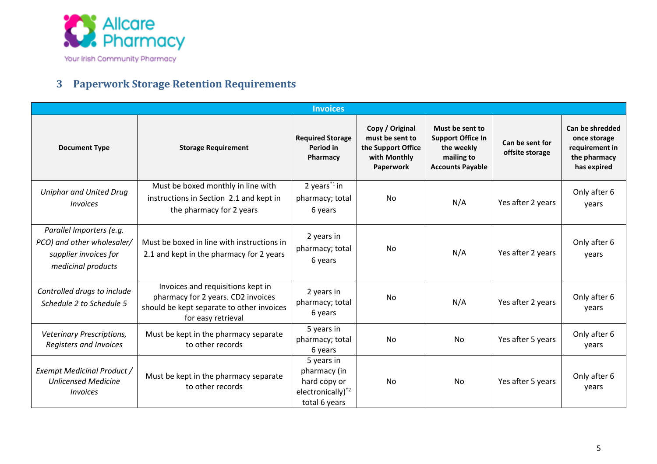

#### **3 Paperwork Storage Retention Requirements**

<span id="page-4-0"></span>

|                                                                                                       |                                                                                                                                            | <b>Invoices</b>                                                                              |                                                                                       |                                                                                                    |                                    |                                                                                  |
|-------------------------------------------------------------------------------------------------------|--------------------------------------------------------------------------------------------------------------------------------------------|----------------------------------------------------------------------------------------------|---------------------------------------------------------------------------------------|----------------------------------------------------------------------------------------------------|------------------------------------|----------------------------------------------------------------------------------|
| <b>Document Type</b>                                                                                  | <b>Storage Requirement</b>                                                                                                                 | <b>Required Storage</b><br>Period in<br>Pharmacy                                             | Copy / Original<br>must be sent to<br>the Support Office<br>with Monthly<br>Paperwork | Must be sent to<br><b>Support Office In</b><br>the weekly<br>mailing to<br><b>Accounts Payable</b> | Can be sent for<br>offsite storage | Can be shredded<br>once storage<br>requirement in<br>the pharmacy<br>has expired |
| <b>Uniphar and United Drug</b><br><i><u><b>Invoices</b></u></i>                                       | Must be boxed monthly in line with<br>instructions in Section 2.1 and kept in<br>the pharmacy for 2 years                                  | 2 years $*1$ in<br>pharmacy; total<br>6 years                                                | <b>No</b>                                                                             | N/A                                                                                                | Yes after 2 years                  | Only after 6<br>years                                                            |
| Parallel Importers (e.g.<br>PCO) and other wholesaler/<br>supplier invoices for<br>medicinal products | Must be boxed in line with instructions in<br>2.1 and kept in the pharmacy for 2 years                                                     | 2 years in<br>pharmacy; total<br>6 years                                                     | No.                                                                                   | N/A                                                                                                | Yes after 2 years                  | Only after 6<br>years                                                            |
| Controlled drugs to include<br>Schedule 2 to Schedule 5                                               | Invoices and requisitions kept in<br>pharmacy for 2 years. CD2 invoices<br>should be kept separate to other invoices<br>for easy retrieval | 2 years in<br>pharmacy; total<br>6 years                                                     | <b>No</b>                                                                             | N/A                                                                                                | Yes after 2 years                  | Only after 6<br>years                                                            |
| Veterinary Prescriptions,<br>Registers and Invoices                                                   | Must be kept in the pharmacy separate<br>to other records                                                                                  | 5 years in<br>pharmacy; total<br>6 years                                                     | No                                                                                    | No                                                                                                 | Yes after 5 years                  | Only after 6<br>years                                                            |
| Exempt Medicinal Product /<br><b>Unlicensed Medicine</b><br><i><u><b>Invoices</b></u></i>             | Must be kept in the pharmacy separate<br>to other records                                                                                  | 5 years in<br>pharmacy (in<br>hard copy or<br>electronically) <sup>*2</sup><br>total 6 years | <b>No</b>                                                                             | No                                                                                                 | Yes after 5 years                  | Only after 6<br>years                                                            |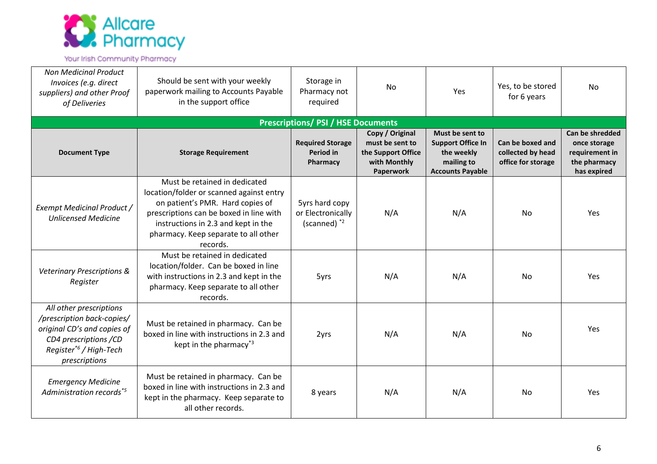

Your Irish Community Pharmacy

| <b>Non Medicinal Product</b><br>Invoices (e.g. direct<br>suppliers) and other Proof<br>of Deliveries                                                                 | Should be sent with your weekly<br>paperwork mailing to Accounts Payable<br>in the support office                                                                                                                                                   | Storage in<br>Pharmacy not<br>required                  | <b>No</b>                                                                             | Yes                                                                                                | Yes, to be stored<br>for 6 years                            | No                                                                               |
|----------------------------------------------------------------------------------------------------------------------------------------------------------------------|-----------------------------------------------------------------------------------------------------------------------------------------------------------------------------------------------------------------------------------------------------|---------------------------------------------------------|---------------------------------------------------------------------------------------|----------------------------------------------------------------------------------------------------|-------------------------------------------------------------|----------------------------------------------------------------------------------|
|                                                                                                                                                                      |                                                                                                                                                                                                                                                     | <b>Prescriptions/ PSI / HSE Documents</b>               |                                                                                       |                                                                                                    |                                                             |                                                                                  |
| <b>Document Type</b>                                                                                                                                                 | <b>Storage Requirement</b>                                                                                                                                                                                                                          | <b>Required Storage</b><br><b>Period in</b><br>Pharmacy | Copy / Original<br>must be sent to<br>the Support Office<br>with Monthly<br>Paperwork | Must be sent to<br><b>Support Office In</b><br>the weekly<br>mailing to<br><b>Accounts Payable</b> | Can be boxed and<br>collected by head<br>office for storage | Can be shredded<br>once storage<br>requirement in<br>the pharmacy<br>has expired |
| Exempt Medicinal Product /<br><b>Unlicensed Medicine</b>                                                                                                             | Must be retained in dedicated<br>location/folder or scanned against entry<br>on patient's PMR. Hard copies of<br>prescriptions can be boxed in line with<br>instructions in 2.3 and kept in the<br>pharmacy. Keep separate to all other<br>records. | 5yrs hard copy<br>or Electronically<br>(scanned) $*2$   | N/A                                                                                   | N/A                                                                                                | No.                                                         | Yes                                                                              |
| <b>Veterinary Prescriptions &amp;</b><br>Register                                                                                                                    | Must be retained in dedicated<br>location/folder. Can be boxed in line<br>with instructions in 2.3 and kept in the<br>pharmacy. Keep separate to all other<br>records.                                                                              | 5yrs                                                    | N/A                                                                                   | N/A                                                                                                | <b>No</b>                                                   | Yes                                                                              |
| All other prescriptions<br>/prescription back-copies/<br>original CD's and copies of<br>CD4 prescriptions /CD<br>Register <sup>*6</sup> / High-Tech<br>prescriptions | Must be retained in pharmacy. Can be<br>boxed in line with instructions in 2.3 and<br>kept in the pharmacy <sup>*3</sup>                                                                                                                            | 2yrs                                                    | N/A                                                                                   | N/A                                                                                                | <b>No</b>                                                   | Yes                                                                              |
| <b>Emergency Medicine</b><br>Administration records <sup>*5</sup>                                                                                                    | Must be retained in pharmacy. Can be<br>boxed in line with instructions in 2.3 and<br>kept in the pharmacy. Keep separate to<br>all other records.                                                                                                  | 8 years                                                 | N/A                                                                                   | N/A                                                                                                | Nο                                                          | Yes                                                                              |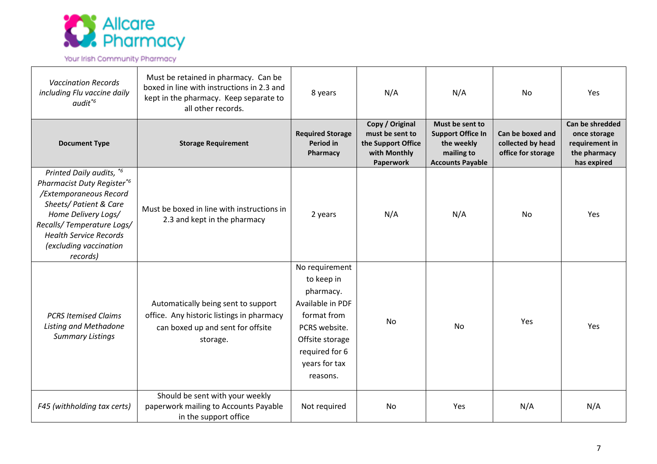

#### Your Irish Community Pharmacy

| <b>Vaccination Records</b><br>including Flu vaccine daily<br>$audit^{*6}$                                                                                                                                                             | Must be retained in pharmacy. Can be<br>boxed in line with instructions in 2.3 and<br>kept in the pharmacy. Keep separate to<br>all other records. | 8 years                                                                                                                                                         | N/A                                                                                   | N/A                                                                                                | No                                                          | Yes                                                                              |
|---------------------------------------------------------------------------------------------------------------------------------------------------------------------------------------------------------------------------------------|----------------------------------------------------------------------------------------------------------------------------------------------------|-----------------------------------------------------------------------------------------------------------------------------------------------------------------|---------------------------------------------------------------------------------------|----------------------------------------------------------------------------------------------------|-------------------------------------------------------------|----------------------------------------------------------------------------------|
| <b>Document Type</b>                                                                                                                                                                                                                  | <b>Storage Requirement</b>                                                                                                                         | <b>Required Storage</b><br>Period in<br>Pharmacy                                                                                                                | Copy / Original<br>must be sent to<br>the Support Office<br>with Monthly<br>Paperwork | Must be sent to<br><b>Support Office In</b><br>the weekly<br>mailing to<br><b>Accounts Payable</b> | Can be boxed and<br>collected by head<br>office for storage | Can be shredded<br>once storage<br>requirement in<br>the pharmacy<br>has expired |
| Printed Daily audits, *6<br>Pharmacist Duty Register*6<br>/Extemporaneous Record<br>Sheets/ Patient & Care<br>Home Delivery Logs/<br>Recalls/Temperature Logs/<br><b>Health Service Records</b><br>(excluding vaccination<br>records) | Must be boxed in line with instructions in<br>2.3 and kept in the pharmacy                                                                         | 2 years                                                                                                                                                         | N/A                                                                                   | N/A                                                                                                | No.                                                         | Yes                                                                              |
| <b>PCRS Itemised Claims</b><br>Listing and Methadone<br><b>Summary Listings</b>                                                                                                                                                       | Automatically being sent to support<br>office. Any historic listings in pharmacy<br>can boxed up and sent for offsite<br>storage.                  | No requirement<br>to keep in<br>pharmacy.<br>Available in PDF<br>format from<br>PCRS website.<br>Offsite storage<br>required for 6<br>years for tax<br>reasons. | <b>No</b>                                                                             | No                                                                                                 | Yes                                                         | Yes                                                                              |
| F45 (withholding tax certs)                                                                                                                                                                                                           | Should be sent with your weekly<br>paperwork mailing to Accounts Payable<br>in the support office                                                  | Not required                                                                                                                                                    | No                                                                                    | Yes                                                                                                | N/A                                                         | N/A                                                                              |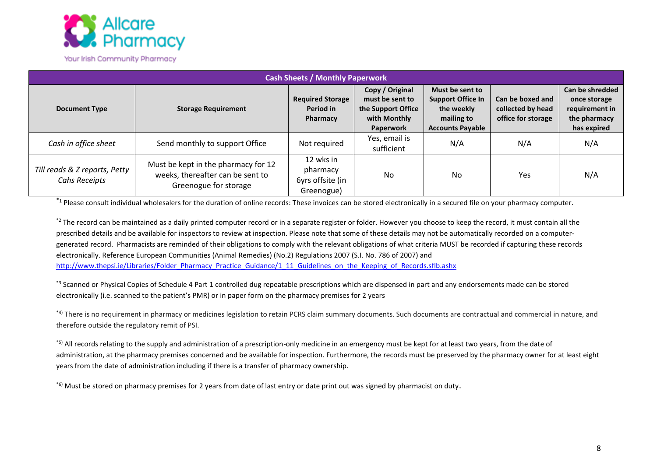

|                                                |                                                                                                  | <b>Cash Sheets / Monthly Paperwork</b>                  |                                                                                       |                                                                                                    |                                                             |                                                                                  |
|------------------------------------------------|--------------------------------------------------------------------------------------------------|---------------------------------------------------------|---------------------------------------------------------------------------------------|----------------------------------------------------------------------------------------------------|-------------------------------------------------------------|----------------------------------------------------------------------------------|
| <b>Document Type</b>                           | <b>Storage Requirement</b>                                                                       | <b>Required Storage</b><br>Period in<br>Pharmacy        | Copy / Original<br>must be sent to<br>the Support Office<br>with Monthly<br>Paperwork | Must be sent to<br><b>Support Office In</b><br>the weekly<br>mailing to<br><b>Accounts Payable</b> | Can be boxed and<br>collected by head<br>office for storage | Can be shredded<br>once storage<br>requirement in<br>the pharmacy<br>has expired |
| Cash in office sheet                           | Send monthly to support Office                                                                   | Not required                                            | Yes, email is<br>sufficient                                                           | N/A                                                                                                | N/A                                                         | N/A                                                                              |
| Till reads & Z reports, Petty<br>Cahs Receipts | Must be kept in the pharmacy for 12<br>weeks, thereafter can be sent to<br>Greenogue for storage | 12 wks in<br>pharmacy<br>6yrs offsite (in<br>Greenogue) | <b>No</b>                                                                             | <b>No</b>                                                                                          | Yes                                                         | N/A                                                                              |

\*<sup>1</sup> Please consult individual wholesalers for the duration of online records: These invoices can be stored electronically in a secured file on your pharmacy computer.

\*<sup>2</sup> The record can be maintained as a daily printed computer record or in a separate register or folder. However you choose to keep the record, it must contain all the prescribed details and be available for inspectors to review at inspection. Please note that some of these details may not be automatically recorded on a computergenerated record. Pharmacists are reminded of their obligations to comply with the relevant obligations of what criteria MUST be recorded if capturing these records electronically. Reference European Communities (Animal Remedies) (No.2) Regulations 2007 (S.I. No. 786 of 2007) and [http://www.thepsi.ie/Libraries/Folder\\_Pharmacy\\_Practice\\_Guidance/1\\_11\\_Guidelines\\_on\\_the\\_Keeping\\_of\\_Records.sflb.ashx](http://www.thepsi.ie/Libraries/Folder_Pharmacy_Practice_Guidance/1_11_Guidelines_on_the_Keeping_of_Records.sflb.ashx)

\*<sup>3</sup> Scanned or Physical Copies of Schedule 4 Part 1 controlled dug repeatable prescriptions which are dispensed in part and any endorsements made can be stored electronically (i.e. scanned to the patient's PMR) or in paper form on the pharmacy premises for 2 years

\*4) There is no requirement in pharmacy or medicines legislation to retain PCRS claim summary documents. Such documents are contractual and commercial in nature, and therefore outside the regulatory remit of PSI.

<sup>\*5)</sup> All records relating to the supply and administration of a prescription-only medicine in an emergency must be kept for at least two years, from the date of administration, at the pharmacy premises concerned and be available for inspection. Furthermore, the records must be preserved by the pharmacy owner for at least eight years from the date of administration including if there is a transfer of pharmacy ownership.

\*6) Must be stored on pharmacy premises for 2 years from date of last entry or date print out was signed by pharmacist on duty.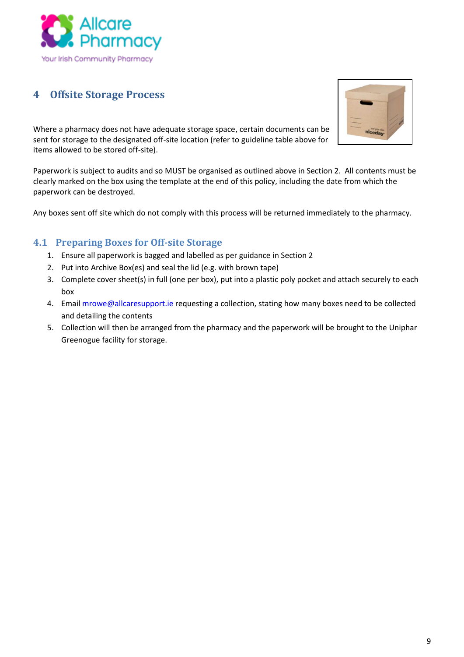

#### <span id="page-8-0"></span>**4 Offsite Storage Process**

Where a pharmacy does not have adequate storage space, certain documents can be sent for storage to the designated off-site location (refer to guideline table above for items allowed to be stored off-site).

Paperwork is subject to audits and so MUST be organised as outlined above in Section 2. All contents must be clearly marked on the box using the template at the end of this policy, including the date from which the paperwork can be destroyed.

Any boxes sent off site which do not comply with this process will be returned immediately to the pharmacy.

#### <span id="page-8-1"></span>**4.1 Preparing Boxes for Off-site Storage**

- 1. Ensure all paperwork is bagged and labelled as per guidance in Section 2
- 2. Put into Archive Box(es) and seal the lid (e.g. with brown tape)
- 3. Complete cover sheet(s) in full (one per box), put into a plastic poly pocket and attach securely to each box
- 4. Emai[l mrowe@allcaresupport.ie](mailto:mrowe@allcaresupport.ie) requesting a collection, stating how many boxes need to be collected and detailing the contents
- 5. Collection will then be arranged from the pharmacy and the paperwork will be brought to the Uniphar Greenogue facility for storage.